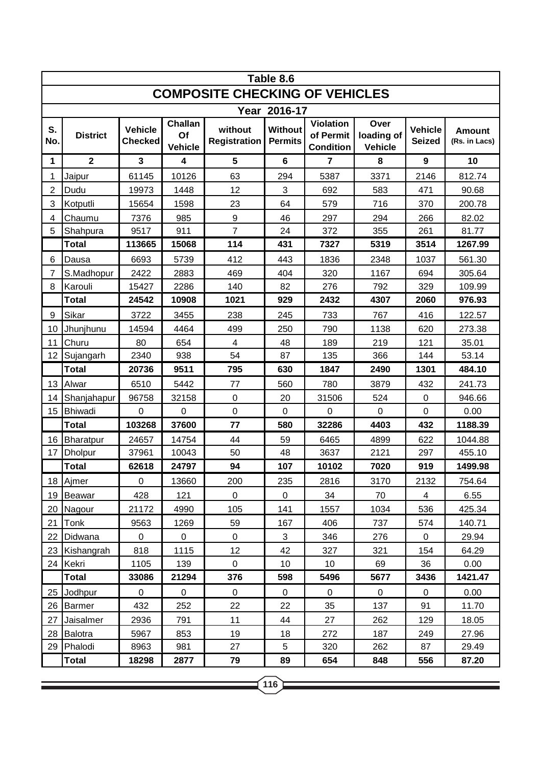|                                       | Table 8.6       |                                  |                                        |                                |                                  |                                                   |                                      |                                 |                                |  |  |  |
|---------------------------------------|-----------------|----------------------------------|----------------------------------------|--------------------------------|----------------------------------|---------------------------------------------------|--------------------------------------|---------------------------------|--------------------------------|--|--|--|
| <b>COMPOSITE CHECKING OF VEHICLES</b> |                 |                                  |                                        |                                |                                  |                                                   |                                      |                                 |                                |  |  |  |
| Year 2016-17                          |                 |                                  |                                        |                                |                                  |                                                   |                                      |                                 |                                |  |  |  |
| S.<br>No.                             | <b>District</b> | <b>Vehicle</b><br><b>Checked</b> | <b>Challan</b><br>Of<br><b>Vehicle</b> | without<br><b>Registration</b> | <b>Without</b><br><b>Permits</b> | <b>Violation</b><br>of Permit<br><b>Condition</b> | Over<br>loading of<br><b>Vehicle</b> | <b>Vehicle</b><br><b>Seized</b> | <b>Amount</b><br>(Rs. in Lacs) |  |  |  |
| 1                                     | $\mathbf{2}$    | $\overline{\mathbf{3}}$          | 4                                      | 5                              | $6\phantom{1}$                   | $\overline{7}$                                    | 8                                    | 9                               | 10                             |  |  |  |
| 1                                     | Jaipur          | 61145                            | 10126                                  | 63                             | 294                              | 5387                                              | 3371                                 | 2146                            | 812.74                         |  |  |  |
| $\overline{2}$                        | Dudu            | 19973                            | 1448                                   | 12                             | 3                                | 692                                               | 583                                  | 471                             | 90.68                          |  |  |  |
| 3                                     | Kotputli        | 15654                            | 1598                                   | 23                             | 64                               | 579                                               | 716                                  | 370                             | 200.78                         |  |  |  |
| 4                                     | Chaumu          | 7376                             | 985                                    | $\boldsymbol{9}$               | 46                               | 297                                               | 294                                  | 266                             | 82.02                          |  |  |  |
| 5                                     | Shahpura        | 9517                             | 911                                    | $\overline{7}$                 | 24                               | 372                                               | 355                                  | 261                             | 81.77                          |  |  |  |
|                                       | <b>Total</b>    | 113665                           | 15068                                  | 114                            | 431                              | 7327                                              | 5319                                 | 3514                            | 1267.99                        |  |  |  |
| 6                                     | Dausa           | 6693                             | 5739                                   | 412                            | 443                              | 1836                                              | 2348                                 | 1037                            | 561.30                         |  |  |  |
| 7                                     | S.Madhopur      | 2422                             | 2883                                   | 469                            | 404                              | 320                                               | 1167                                 | 694                             | 305.64                         |  |  |  |
| 8                                     | Karouli         | 15427                            | 2286                                   | 140                            | 82                               | 276                                               | 792                                  | 329                             | 109.99                         |  |  |  |
|                                       | Total           | 24542                            | 10908                                  | 1021                           | 929                              | 2432                                              | 4307                                 | 2060                            | 976.93                         |  |  |  |
| 9                                     | Sikar           | 3722                             | 3455                                   | 238                            | 245                              | 733                                               | 767                                  | 416                             | 122.57                         |  |  |  |
| 10                                    | Jhunjhunu       | 14594                            | 4464                                   | 499                            | 250                              | 790                                               | 1138                                 | 620                             | 273.38                         |  |  |  |
| 11                                    | Churu           | 80                               | 654                                    | 4                              | 48                               | 189                                               | 219                                  | 121                             | 35.01                          |  |  |  |
| 12                                    | Sujangarh       | 2340                             | 938                                    | 54                             | 87                               | 135                                               | 366                                  | 144                             | 53.14                          |  |  |  |
|                                       | <b>Total</b>    | 20736                            | 9511                                   | 795                            | 630                              | 1847                                              | 2490                                 | 1301                            | 484.10                         |  |  |  |
| 13                                    | Alwar           | 6510                             | 5442                                   | 77                             | 560                              | 780                                               | 3879                                 | 432                             | 241.73                         |  |  |  |
| 14                                    | Shanjahapur     | 96758                            | 32158                                  | $\pmb{0}$                      | 20                               | 31506                                             | 524                                  | $\pmb{0}$                       | 946.66                         |  |  |  |
| 15                                    | Bhiwadi         | $\mathbf 0$                      | 0                                      | $\mathbf 0$                    | $\mathbf 0$                      | $\overline{0}$                                    | $\mathbf 0$                          | $\mathbf 0$                     | 0.00                           |  |  |  |
|                                       | <b>Total</b>    | 103268                           | 37600                                  | 77                             | 580                              | 32286                                             | 4403                                 | 432                             | 1188.39                        |  |  |  |
| 16                                    | Bharatpur       | 24657                            | 14754                                  | 44                             | 59                               | 6465                                              | 4899                                 | 622                             | 1044.88                        |  |  |  |
| 17                                    | <b>Dholpur</b>  | 37961                            | 10043                                  | 50                             | 48                               | 3637                                              | 2121                                 | 297                             | 455.10                         |  |  |  |
|                                       | <b>Total</b>    | 62618                            | 24797                                  | 94                             | 107                              | 10102                                             | 7020                                 | 919                             | 1499.98                        |  |  |  |
|                                       | 18 Ajmer        | 0                                | 13660                                  | 200                            | 235                              | 2816                                              | 3170                                 | 2132                            | 754.64                         |  |  |  |
| 19                                    | Beawar          | 428                              | 121                                    | $\mathbf 0$                    | $\mathbf 0$                      | 34                                                | 70                                   | $\overline{4}$                  | 6.55                           |  |  |  |
| 20                                    | Nagour          | 21172                            | 4990                                   | 105                            | 141                              | 1557                                              | 1034                                 | 536                             | 425.34                         |  |  |  |
| 21                                    | Tonk            | 9563                             | 1269                                   | 59                             | 167                              | 406                                               | 737                                  | 574                             | 140.71                         |  |  |  |
| 22                                    | Didwana         | $\mathbf 0$                      | 0                                      | $\pmb{0}$                      | 3                                | 346                                               | 276                                  | $\mathbf 0$                     | 29.94                          |  |  |  |
| 23                                    | Kishangrah      | 818                              | 1115                                   | 12                             | 42                               | 327                                               | 321                                  | 154                             | 64.29                          |  |  |  |
| 24                                    | Kekri           | 1105                             | 139                                    | $\mathbf 0$                    | 10                               | 10                                                | 69                                   | 36                              | 0.00                           |  |  |  |
|                                       | <b>Total</b>    | 33086                            | 21294                                  | 376                            | 598                              | 5496                                              | 5677                                 | 3436                            | 1421.47                        |  |  |  |
| 25                                    | Jodhpur         | $\mathbf 0$                      | 0                                      | $\pmb{0}$                      | $\mathbf 0$                      | $\mathbf 0$                                       | $\mathbf 0$                          | 0                               | 0.00                           |  |  |  |
| 26                                    | <b>Barmer</b>   | 432                              | 252                                    | 22                             | 22                               | 35                                                | 137                                  | 91                              | 11.70                          |  |  |  |
| 27                                    | Jaisalmer       | 2936                             | 791                                    | 11                             | 44                               | 27                                                | 262                                  | 129                             | 18.05                          |  |  |  |
| 28                                    | Balotra         | 5967                             | 853                                    | 19                             | 18                               | 272                                               | 187                                  | 249                             | 27.96                          |  |  |  |
| 29                                    | Phalodi         | 8963                             | 981                                    | 27                             | 5                                | 320                                               | 262                                  | 87                              | 29.49                          |  |  |  |
|                                       | Total           | 18298                            | 2877                                   | 79                             | 89                               | 654                                               | 848                                  | 556                             | 87.20                          |  |  |  |

<u> 1989 - Johann Stoff, deutscher Stoffen und der Stoffen und der Stoffen und der Stoffen und der Stoffen und de</u>